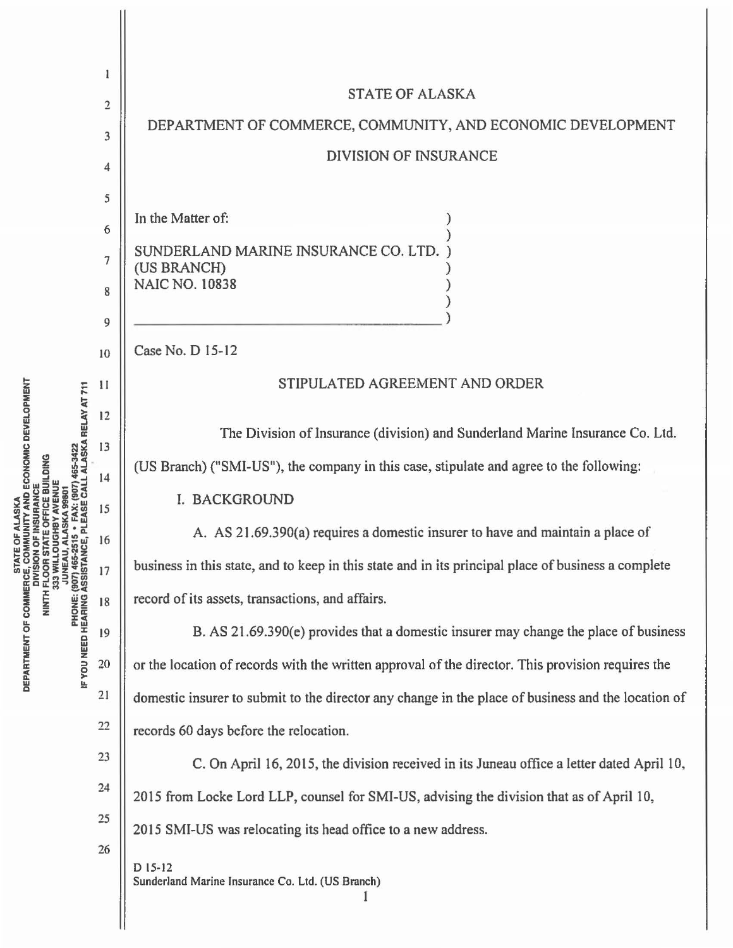|                                                                                                                                                                                                                                     | 1              |                                                                                                     |
|-------------------------------------------------------------------------------------------------------------------------------------------------------------------------------------------------------------------------------------|----------------|-----------------------------------------------------------------------------------------------------|
|                                                                                                                                                                                                                                     | 2              | <b>STATE OF ALASKA</b>                                                                              |
|                                                                                                                                                                                                                                     | 3              | DEPARTMENT OF COMMERCE, COMMUNITY, AND ECONOMIC DEVELOPMENT                                         |
|                                                                                                                                                                                                                                     | 4              | <b>DIVISION OF INSURANCE</b>                                                                        |
|                                                                                                                                                                                                                                     | 5              |                                                                                                     |
|                                                                                                                                                                                                                                     | 6              | In the Matter of:                                                                                   |
| D ECONOMIC DEVELOPMENT<br>ALASKA RELAY AT 711<br>65-3422<br><b>STATE OF</b><br>E. COMMI<br>JUNEAU, AL<br>: (907) 465-2515<br>  ASSISTANCE,<br>NINTH FLOO<br>333 WI<br>DEPARTMENT OF COMMERC<br><b>PHONE:</b><br>IF YOU NEED HEARING | $\overline{7}$ | SUNDERLAND MARINE INSURANCE CO. LTD.                                                                |
|                                                                                                                                                                                                                                     | 8              | (US BRANCH)<br><b>NAIC NO. 10838</b>                                                                |
|                                                                                                                                                                                                                                     | 9              |                                                                                                     |
|                                                                                                                                                                                                                                     | 10             | Case No. D 15-12                                                                                    |
|                                                                                                                                                                                                                                     | $\mathbf{I}$   | STIPULATED AGREEMENT AND ORDER                                                                      |
|                                                                                                                                                                                                                                     | 12             |                                                                                                     |
|                                                                                                                                                                                                                                     | 13             | The Division of Insurance (division) and Sunderland Marine Insurance Co. Ltd.                       |
|                                                                                                                                                                                                                                     | 14             | (US Branch) ("SMI-US"), the company in this case, stipulate and agree to the following:             |
|                                                                                                                                                                                                                                     | 15             | I. BACKGROUND                                                                                       |
|                                                                                                                                                                                                                                     | 16             | A. AS 21.69.390(a) requires a domestic insurer to have and maintain a place of                      |
|                                                                                                                                                                                                                                     | 17             | business in this state, and to keep in this state and in its principal place of business a complete |
|                                                                                                                                                                                                                                     | 18             | record of its assets, transactions, and affairs.                                                    |
|                                                                                                                                                                                                                                     | 19             | B. AS 21.69.390(e) provides that a domestic insurer may change the place of business                |
|                                                                                                                                                                                                                                     | 20             | or the location of records with the written approval of the director. This provision requires the   |
|                                                                                                                                                                                                                                     | 21             | domestic insurer to submit to the director any change in the place of business and the location of  |
|                                                                                                                                                                                                                                     | 22             | records 60 days before the relocation.                                                              |
|                                                                                                                                                                                                                                     | 23             | C. On April 16, 2015, the division received in its Juneau office a letter dated April 10,           |
|                                                                                                                                                                                                                                     | 24             | 2015 from Locke Lord LLP, counsel for SMI-US, advising the division that as of April 10,            |
|                                                                                                                                                                                                                                     | 25             | 2015 SMI-US was relocating its head office to a new address.                                        |
|                                                                                                                                                                                                                                     | 26             | D 15-12                                                                                             |
|                                                                                                                                                                                                                                     |                | Sunderland Marine Insurance Co. Ltd. (US Branch)                                                    |
|                                                                                                                                                                                                                                     |                |                                                                                                     |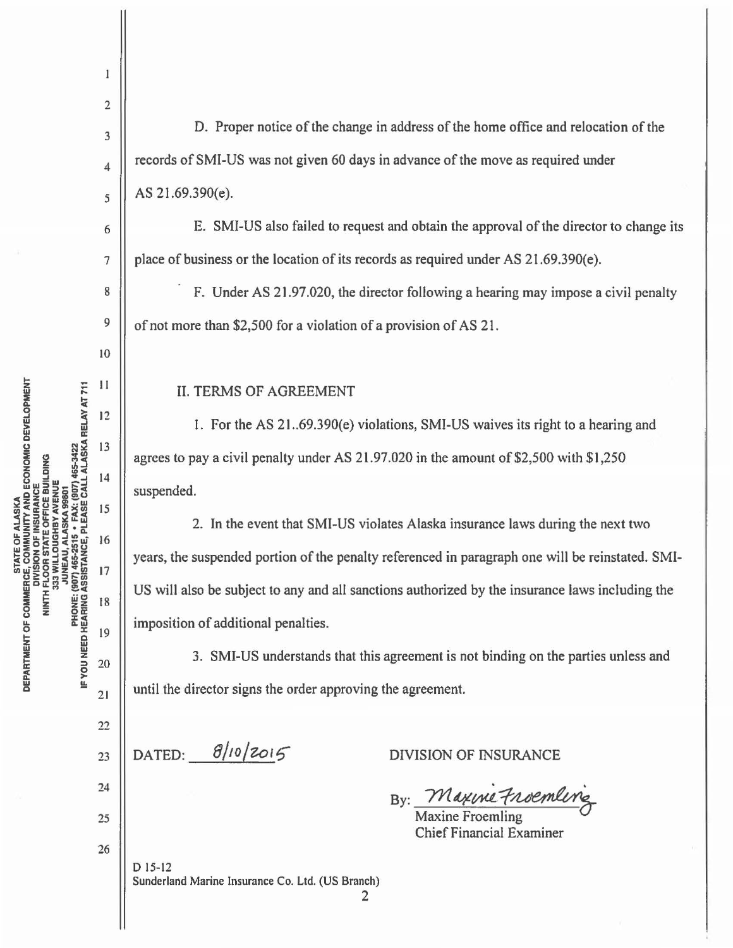22

 $21$ 

17

18

19

 $20$ 

 $\mathbf{1}$ 

23

24

25

26

2 D. Proper notice of the change in address of the home office and relocation of the 3 records of SMI-US was not given 60 days in advance of the move as required under 4 AS 21.69.390(e). 5 E. SMI-US also failed to request and obtain the approval of the director to change its 6 place of business or the location of its records as required under AS 21.69.390(e). 7 8 F. Under AS 21 .97.020, the director following a hearing may impose a civil penalty 9 of not more than \$2,500 for a violation of a provision of AS 21 . IO  $\mathbf{H}$ II. TERMS OF AGREEMENT  $12$ 1. For the AS 21..69.390(e) violations, SMI-US waives its right to a hearing and 13 agrees to pay a civil penalty under AS  $21.97.020$  in the amount of \$2,500 with \$1,250  $14$ suspended. 15 2. In the event that SMI-US violates Alaska insurance laws during the next two 16

years, the suspended portion of the penalty referenced in paragraph one will be reinstated. SMI-US will also be subject to any and all sanctions authorized by the insurance laws including the imposition of additional penalties.

3. SMI-US understands that this agreement is not binding on the parties unless and until the director signs the order approving the agreement.

DATED: **8/10/2015** 

DIVISION OF INSURANCE

By: Maxime Froemline

Maxine Froemling Chief Financial Examiner

D 15-12 Sunderland Marine Insurance Co. Ltd. (US Branch)

2